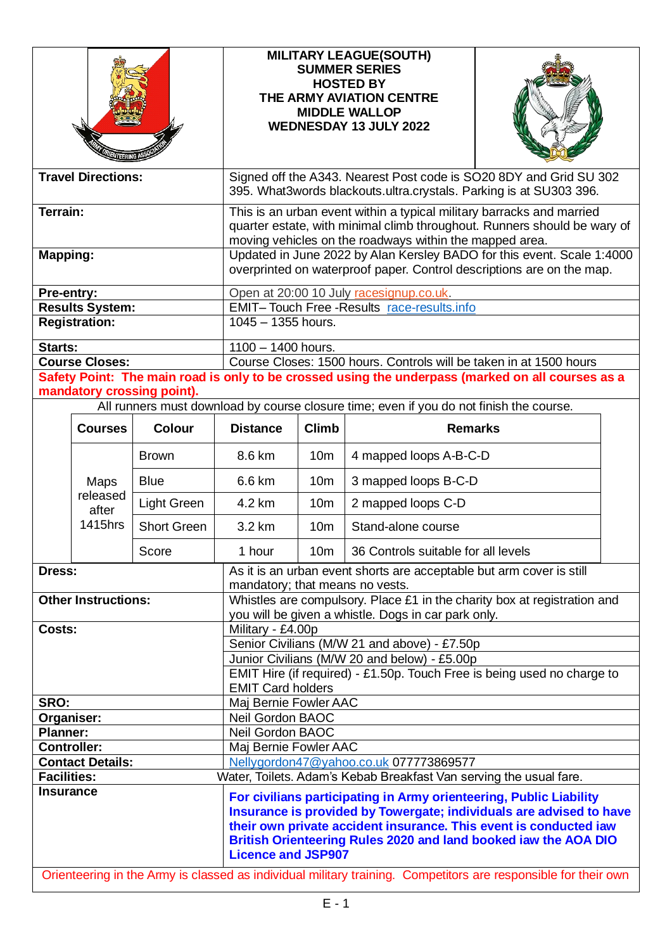|                                                |                                      |                            | <b>MILITARY LEAGUE(SOUTH)</b><br><b>SUMMER SERIES</b><br><b>HOSTED BY</b><br>THE ARMY AVIATION CENTRE<br><b>MIDDLE WALLOP</b><br><b>WEDNESDAY 13 JULY 2022</b>                                                                                                                                                                                                                                                                   |                       |                                     |  |  |
|------------------------------------------------|--------------------------------------|----------------------------|----------------------------------------------------------------------------------------------------------------------------------------------------------------------------------------------------------------------------------------------------------------------------------------------------------------------------------------------------------------------------------------------------------------------------------|-----------------------|-------------------------------------|--|--|
| <b>Travel Directions:</b>                      |                                      |                            | Signed off the A343. Nearest Post code is SO20 8DY and Grid SU 302<br>395. What3words blackouts.ultra.crystals. Parking is at SU303 396.                                                                                                                                                                                                                                                                                         |                       |                                     |  |  |
| Terrain:<br><b>Mapping:</b>                    |                                      |                            | This is an urban event within a typical military barracks and married<br>quarter estate, with minimal climb throughout. Runners should be wary of<br>moving vehicles on the roadways within the mapped area.<br>Updated in June 2022 by Alan Kersley BADO for this event. Scale 1:4000                                                                                                                                           |                       |                                     |  |  |
| Pre-entry:                                     |                                      |                            | overprinted on waterproof paper. Control descriptions are on the map.<br>Open at 20:00 10 July racesignup.co.uk.                                                                                                                                                                                                                                                                                                                 |                       |                                     |  |  |
| <b>Results System:</b><br><b>Registration:</b> |                                      |                            | EMIT-Touch Free-Results race-results.info<br>$1045 - 1355$ hours.                                                                                                                                                                                                                                                                                                                                                                |                       |                                     |  |  |
| Starts:                                        | <b>Course Closes:</b>                | mandatory crossing point). | $1100 - 1400$ hours.<br>Course Closes: 1500 hours. Controls will be taken in at 1500 hours<br>Safety Point: The main road is only to be crossed using the underpass (marked on all courses as a<br>All runners must download by course closure time; even if you do not finish the course.                                                                                                                                       |                       |                                     |  |  |
|                                                | <b>Courses</b>                       | <b>Colour</b>              | <b>Distance</b>                                                                                                                                                                                                                                                                                                                                                                                                                  | <b>Climb</b>          | <b>Remarks</b>                      |  |  |
|                                                |                                      | <b>Brown</b>               | 8.6 km                                                                                                                                                                                                                                                                                                                                                                                                                           | 10 <sub>m</sub>       | 4 mapped loops A-B-C-D              |  |  |
|                                                | Maps<br>released<br>after<br>1415hrs | <b>Blue</b>                | 6.6 km                                                                                                                                                                                                                                                                                                                                                                                                                           | 10 <sub>m</sub>       | 3 mapped loops B-C-D                |  |  |
|                                                |                                      | Light Green                | 4.2 km                                                                                                                                                                                                                                                                                                                                                                                                                           | 10 <sub>m</sub>       | 2 mapped loops C-D                  |  |  |
|                                                |                                      | <b>Short Green</b>         | 3.2 km                                                                                                                                                                                                                                                                                                                                                                                                                           | 10 <sub>m</sub>       | Stand-alone course                  |  |  |
|                                                |                                      | Score                      | 1 hour                                                                                                                                                                                                                                                                                                                                                                                                                           | 10 <sub>m</sub>       | 36 Controls suitable for all levels |  |  |
| Dress:                                         |                                      |                            | As it is an urban event shorts are acceptable but arm cover is still<br>mandatory; that means no vests.                                                                                                                                                                                                                                                                                                                          |                       |                                     |  |  |
| <b>Other Instructions:</b>                     |                                      |                            | Whistles are compulsory. Place £1 in the charity box at registration and<br>you will be given a whistle. Dogs in car park only.                                                                                                                                                                                                                                                                                                  |                       |                                     |  |  |
| Costs:                                         |                                      |                            | Military - £4.00p<br>Senior Civilians (M/W 21 and above) - £7.50p                                                                                                                                                                                                                                                                                                                                                                |                       |                                     |  |  |
|                                                |                                      |                            | Junior Civilians (M/W 20 and below) - £5.00p                                                                                                                                                                                                                                                                                                                                                                                     |                       |                                     |  |  |
|                                                |                                      |                            | EMIT Hire (if required) - £1.50p. Touch Free is being used no charge to<br><b>EMIT Card holders</b>                                                                                                                                                                                                                                                                                                                              |                       |                                     |  |  |
| SRO:                                           |                                      |                            | Maj Bernie Fowler AAC                                                                                                                                                                                                                                                                                                                                                                                                            |                       |                                     |  |  |
| Organiser:<br><b>Planner:</b>                  |                                      |                            | Neil Gordon BAOC<br>Neil Gordon BAOC                                                                                                                                                                                                                                                                                                                                                                                             |                       |                                     |  |  |
|                                                | <b>Controller:</b>                   |                            |                                                                                                                                                                                                                                                                                                                                                                                                                                  | Maj Bernie Fowler AAC |                                     |  |  |
|                                                | <b>Contact Details:</b>              |                            | Nellygordon47@yahoo.co.uk 077773869577                                                                                                                                                                                                                                                                                                                                                                                           |                       |                                     |  |  |
| <b>Facilities:</b>                             |                                      |                            | Water, Toilets. Adam's Kebab Breakfast Van serving the usual fare.                                                                                                                                                                                                                                                                                                                                                               |                       |                                     |  |  |
| <b>Insurance</b>                               |                                      |                            | For civilians participating in Army orienteering, Public Liability<br>Insurance is provided by Towergate; individuals are advised to have<br>their own private accident insurance. This event is conducted iaw<br>British Orienteering Rules 2020 and land booked iaw the AOA DIO<br><b>Licence and JSP907</b><br>Orienteering in the Army is classed as individual military training. Competitors are responsible for their own |                       |                                     |  |  |